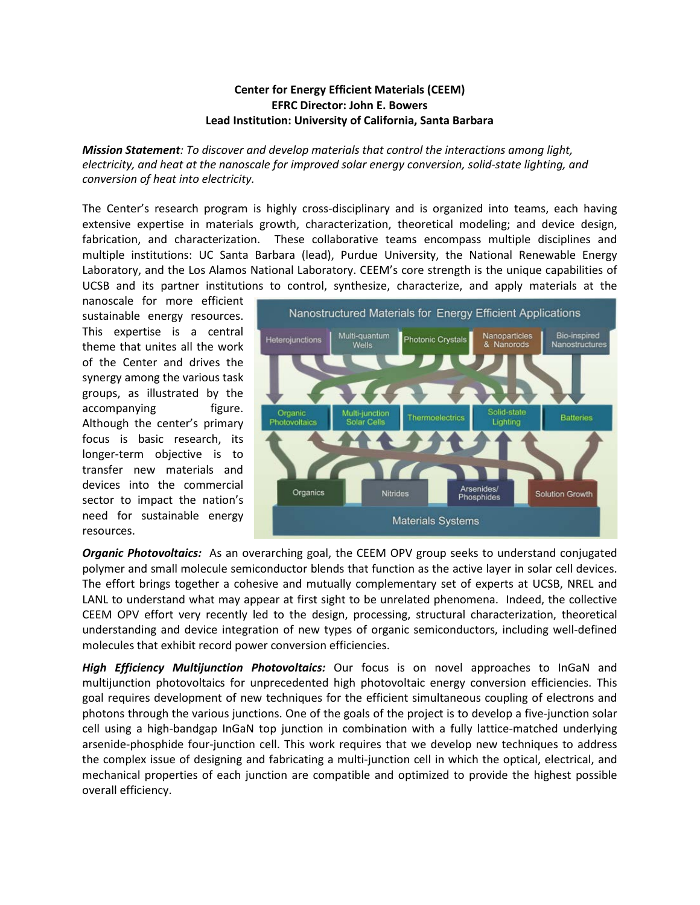## **Center for Energy Efficient Materials (CEEM) EFRC Director: John E. Bowers Lead Institution: University of California, Santa Barbara**

*Mission Statement: To discover and develop materials that control the interactions among light, electricity, and heat at the nanoscale for improved solar energy conversion, solid-state lighting, and conversion of heat into electricity.*

The Center's research program is highly cross-disciplinary and is organized into teams, each having extensive expertise in materials growth, characterization, theoretical modeling; and device design, fabrication, and characterization. These collaborative teams encompass multiple disciplines and multiple institutions: UC Santa Barbara (lead), Purdue University, the National Renewable Energy Laboratory, and the Los Alamos National Laboratory. CEEM's core strength is the unique capabilities of UCSB and its partner institutions to control, synthesize, characterize, and apply materials at the

nanoscale for more efficient sustainable energy resources. This expertise is a central theme that unites all the work of the Center and drives the synergy among the various task groups, as illustrated by the accompanying figure. Although the center's primary focus is basic research, its longer-term objective is to transfer new materials and devices into the commercial sector to impact the nation's need for sustainable energy resources.



*Organic Photovoltaics:* As an overarching goal, the CEEM OPV group seeks to understand conjugated polymer and small molecule semiconductor blends that function as the active layer in solar cell devices. The effort brings together a cohesive and mutually complementary set of experts at UCSB, NREL and LANL to understand what may appear at first sight to be unrelated phenomena. Indeed, the collective CEEM OPV effort very recently led to the design, processing, structural characterization, theoretical understanding and device integration of new types of organic semiconductors, including well-defined molecules that exhibit record power conversion efficiencies.

*High Efficiency Multijunction Photovoltaics:* Our focus is on novel approaches to InGaN and multijunction photovoltaics for unprecedented high photovoltaic energy conversion efficiencies. This goal requires development of new techniques for the efficient simultaneous coupling of electrons and photons through the various junctions. One of the goals of the project is to develop a five-junction solar cell using a high-bandgap InGaN top junction in combination with a fully lattice-matched underlying arsenide-phosphide four-junction cell. This work requires that we develop new techniques to address the complex issue of designing and fabricating a multi-junction cell in which the optical, electrical, and mechanical properties of each junction are compatible and optimized to provide the highest possible overall efficiency.